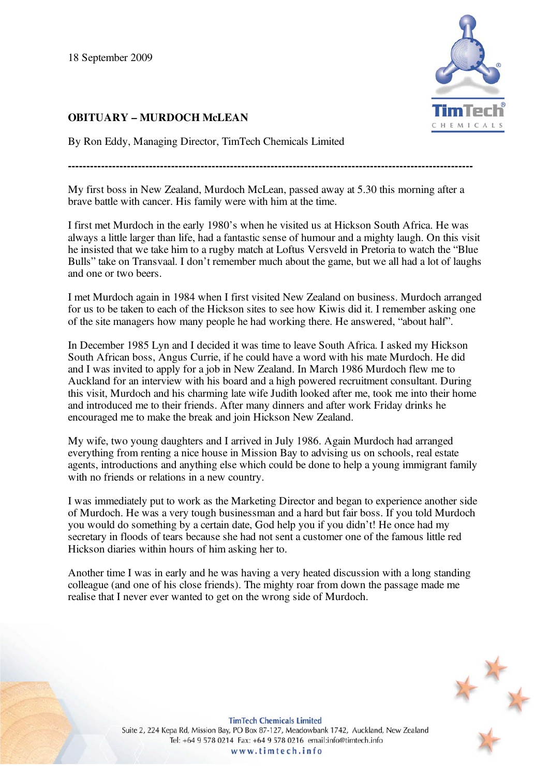18 September 2009

## **OBITUARY – MURDOCH McLEAN**

H E M I C

By Ron Eddy, Managing Director, TimTech Chemicals Limited

**--------------------------------------------------------------------------------------------------------------** 

My first boss in New Zealand, Murdoch McLean, passed away at 5.30 this morning after a brave battle with cancer. His family were with him at the time.

I first met Murdoch in the early 1980's when he visited us at Hickson South Africa. He was always a little larger than life, had a fantastic sense of humour and a mighty laugh. On this visit he insisted that we take him to a rugby match at Loftus Versveld in Pretoria to watch the "Blue Bulls" take on Transvaal. I don't remember much about the game, but we all had a lot of laughs and one or two beers.

I met Murdoch again in 1984 when I first visited New Zealand on business. Murdoch arranged for us to be taken to each of the Hickson sites to see how Kiwis did it. I remember asking one of the site managers how many people he had working there. He answered, "about half".

In December 1985 Lyn and I decided it was time to leave South Africa. I asked my Hickson South African boss, Angus Currie, if he could have a word with his mate Murdoch. He did and I was invited to apply for a job in New Zealand. In March 1986 Murdoch flew me to Auckland for an interview with his board and a high powered recruitment consultant. During this visit, Murdoch and his charming late wife Judith looked after me, took me into their home and introduced me to their friends. After many dinners and after work Friday drinks he encouraged me to make the break and join Hickson New Zealand.

My wife, two young daughters and I arrived in July 1986. Again Murdoch had arranged everything from renting a nice house in Mission Bay to advising us on schools, real estate agents, introductions and anything else which could be done to help a young immigrant family with no friends or relations in a new country.

I was immediately put to work as the Marketing Director and began to experience another side of Murdoch. He was a very tough businessman and a hard but fair boss. If you told Murdoch you would do something by a certain date, God help you if you didn't! He once had my secretary in floods of tears because she had not sent a customer one of the famous little red Hickson diaries within hours of him asking her to.

Another time I was in early and he was having a very heated discussion with a long standing colleague (and one of his close friends). The mighty roar from down the passage made me realise that I never ever wanted to get on the wrong side of Murdoch.



**TimTech Chemicals Limited** Suite 2, 224 Kepa Rd, Mission Bay, PO Box 87-127, Meadowbank 1742, Auckland, New Zealand Tel: +64 9 578 0214 Fax: +64 9 578 0216 email:info@timtech.info www.timtech.info